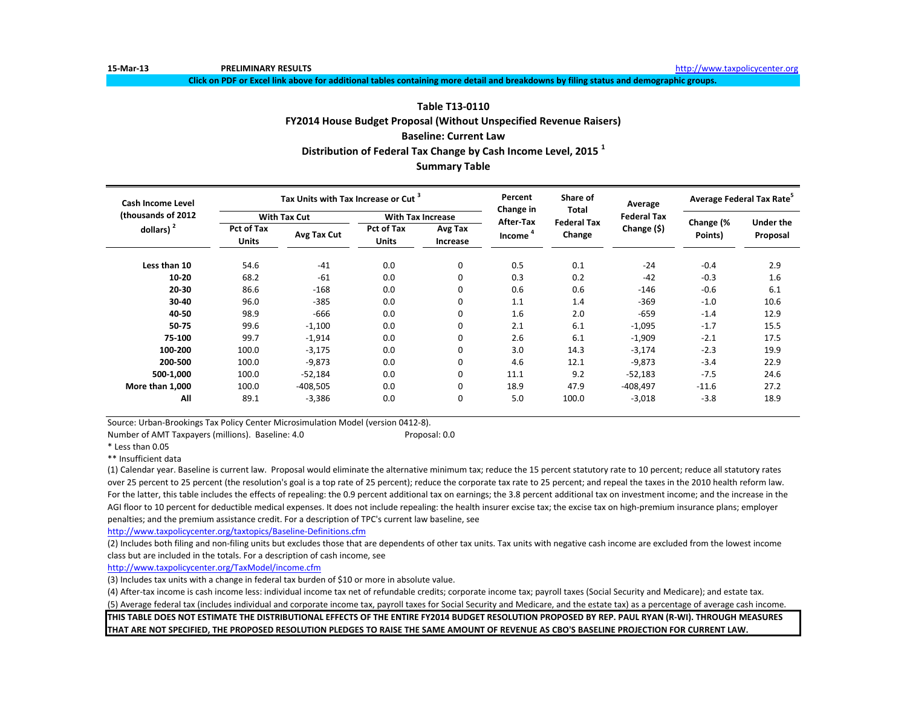**15-Mar-13 PRELIMINARY RESULTS** [http://www.ta](http://www.taxpolicycenter.org/)xpolicycenter.org

**Click on PDF or Excel link above for additional tables containing more detail and breakdowns by filing status and demographic groups.**

### **Table T13-0110**

**FY2014 House Budget Proposal (Without Unspecified Revenue Raisers)**

# **Baseline: Current Law**

**Distribution of Federal Tax Change by Cash Income Level, 2015 <sup>1</sup>**

# **Summary Table**

| <b>Cash Income Level</b> |                     | Tax Units with Tax Increase or Cut <sup>3</sup> |                            |                     | Percent<br>Change in | Share of<br><b>Total</b> | Average            | Average Federal Tax Rate <sup>5</sup> |                  |  |
|--------------------------|---------------------|-------------------------------------------------|----------------------------|---------------------|----------------------|--------------------------|--------------------|---------------------------------------|------------------|--|
| (thousands of 2012       |                     | <b>With Tax Cut</b>                             | <b>With Tax Increase</b>   |                     | After-Tax            | <b>Federal Tax</b>       | <b>Federal Tax</b> | Change (%                             | <b>Under the</b> |  |
| dollars) $2$             | Pct of Tax<br>Units | Avg Tax Cut                                     | Pct of Tax<br><b>Units</b> | Avg Tax<br>Increase | Income <sup>4</sup>  | Change                   | Change (\$)        | Points)                               | Proposal         |  |
| Less than 10             | 54.6                | $-41$                                           | 0.0                        | 0                   | 0.5                  | 0.1                      | $-24$              | $-0.4$                                | 2.9              |  |
| $10 - 20$                | 68.2                | $-61$                                           | 0.0                        | 0                   | 0.3                  | 0.2                      | $-42$              | $-0.3$                                | 1.6              |  |
| 20-30                    | 86.6                | $-168$                                          | 0.0                        | 0                   | 0.6                  | 0.6                      | $-146$             | $-0.6$                                | 6.1              |  |
| 30-40                    | 96.0                | $-385$                                          | 0.0                        | 0                   | 1.1                  | 1.4                      | $-369$             | $-1.0$                                | 10.6             |  |
| 40-50                    | 98.9                | $-666$                                          | 0.0                        | 0                   | 1.6                  | 2.0                      | $-659$             | $-1.4$                                | 12.9             |  |
| 50-75                    | 99.6                | $-1,100$                                        | 0.0                        | 0                   | 2.1                  | 6.1                      | $-1,095$           | $-1.7$                                | 15.5             |  |
| 75-100                   | 99.7                | $-1,914$                                        | 0.0                        | 0                   | 2.6                  | 6.1                      | $-1,909$           | $-2.1$                                | 17.5             |  |
| 100-200                  | 100.0               | $-3,175$                                        | 0.0                        | 0                   | 3.0                  | 14.3                     | $-3,174$           | $-2.3$                                | 19.9             |  |
| 200-500                  | 100.0               | $-9,873$                                        | 0.0                        | 0                   | 4.6                  | 12.1                     | $-9,873$           | $-3.4$                                | 22.9             |  |
| 500-1,000                | 100.0               | $-52,184$                                       | 0.0                        | 0                   | 11.1                 | 9.2                      | $-52,183$          | $-7.5$                                | 24.6             |  |
| More than 1,000          | 100.0               | $-408,505$                                      | 0.0                        | 0                   | 18.9                 | 47.9                     | $-408,497$         | $-11.6$                               | 27.2             |  |
| All                      | 89.1                | $-3,386$                                        | 0.0                        | 0                   | 5.0                  | 100.0                    | $-3,018$           | $-3.8$                                | 18.9             |  |

Source: Urban-Brookings Tax Policy Center Microsimulation Model (version 0412-8).

Number of AMT Taxpayers (millions). Baseline: 4.0 Proposal: 0.0

\* Less than 0.05

\*\* Insufficient data

(1) Calendar year. Baseline is current law. Proposal would eliminate the alternative minimum tax; reduce the 15 percent statutory rate to 10 percent; reduce all statutory rates over 25 percent to 25 percent (the resolution's goal is a top rate of 25 percent); reduce the corporate tax rate to 25 percent; and repeal the taxes in the 2010 health reform law. For the latter, this table includes the effects of repealing: the 0.9 percent additional tax on earnings; the 3.8 percent additional tax on investment income; and the increase in the AGI floor to 10 percent for deductible medical expenses. It does not include repealing: the health insurer excise tax; the excise tax on high-premium insurance plans; employer penalties; and the premium assistance credit. For a description of TPC's current law baseline, see

<http://www.taxpolicycenter.org/taxtopics/Baseline-Definitions.cfm>

(2) Includes both filing and non-filing units but excludes those that are dependents of other tax units. Tax units with negative cash income are excluded from the lowest income class but are included in the totals. For a description of cash income, see

[http://www.taxpolicycente](http://www.taxpolicycenter.org/TaxModel/income.cfm)r.org/TaxModel/income.cfm

(3) Includes tax units with a change in federal tax burden of \$10 or more in absolute value.

(4) After-tax income is cash income less: individual income tax net of refundable credits; corporate income tax; payroll taxes (Social Security and Medicare); and estate tax.

(5) Average federal tax (includes individual and corporate income tax, payroll taxes for Social Security and Medicare, and the estate tax) as a percentage of average cash income.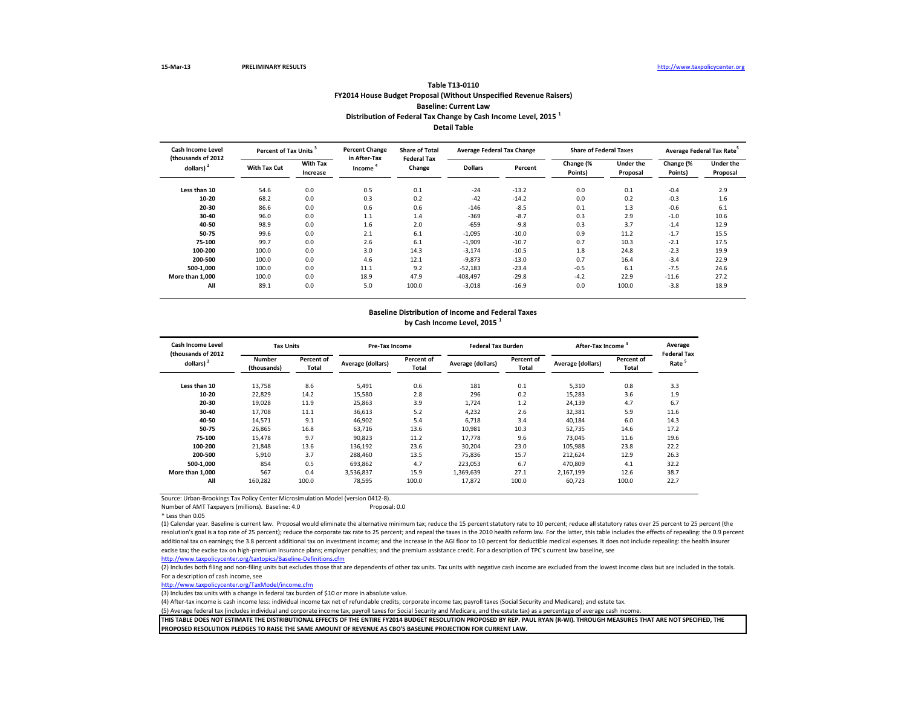## **Table T13-0110 FY2014 House Budget Proposal (Without Unspecified Revenue Raisers) Baseline: Current Law Distribution of Federal Tax Change by Cash Income Level, 2015 <sup>1</sup> Detail Table**

| <b>Cash Income Level</b><br>(thousands of 2012 | Percent of Tax Units <sup>3</sup> |                             | <b>Percent Change</b><br>in After-Tax | <b>Share of Total</b><br><b>Federal Tax</b> | <b>Average Federal Tax Change</b> |         | <b>Share of Federal Taxes</b> |                       |                      | Average Federal Tax Rate     |
|------------------------------------------------|-----------------------------------|-----------------------------|---------------------------------------|---------------------------------------------|-----------------------------------|---------|-------------------------------|-----------------------|----------------------|------------------------------|
| dollars) <sup>2</sup>                          | <b>With Tax Cut</b>               | <b>With Tax</b><br>Increase | Income <sup>4</sup>                   | Change                                      | <b>Dollars</b>                    | Percent | Change (%<br>Points)          | Under the<br>Proposal | Change (%<br>Points) | <b>Under the</b><br>Proposal |
| Less than 10                                   | 54.6                              | 0.0                         | 0.5                                   | 0.1                                         | $-24$                             | $-13.2$ | 0.0                           | 0.1                   | $-0.4$               | 2.9                          |
| 10-20                                          | 68.2                              | 0.0                         | 0.3                                   | 0.2                                         | $-42$                             | $-14.2$ | 0.0                           | 0.2                   | $-0.3$               | 1.6                          |
| 20-30                                          | 86.6                              | 0.0                         | 0.6                                   | 0.6                                         | $-146$                            | $-8.5$  | 0.1                           | 1.3                   | $-0.6$               | 6.1                          |
| 30-40                                          | 96.0                              | 0.0                         | 1.1                                   | 1.4                                         | $-369$                            | $-8.7$  | 0.3                           | 2.9                   | $-1.0$               | 10.6                         |
| 40-50                                          | 98.9                              | 0.0                         | 1.6                                   | 2.0                                         | $-659$                            | $-9.8$  | 0.3                           | 3.7                   | $-1.4$               | 12.9                         |
| 50-75                                          | 99.6                              | 0.0                         | 2.1                                   | 6.1                                         | $-1,095$                          | $-10.0$ | 0.9                           | 11.2                  | $-1.7$               | 15.5                         |
| 75-100                                         | 99.7                              | 0.0                         | 2.6                                   | 6.1                                         | $-1,909$                          | $-10.7$ | 0.7                           | 10.3                  | $-2.1$               | 17.5                         |
| 100-200                                        | 100.0                             | 0.0                         | 3.0                                   | 14.3                                        | $-3,174$                          | $-10.5$ | 1.8                           | 24.8                  | $-2.3$               | 19.9                         |
| 200-500                                        | 100.0                             | 0.0                         | 4.6                                   | 12.1                                        | $-9,873$                          | $-13.0$ | 0.7                           | 16.4                  | $-3.4$               | 22.9                         |
| 500-1.000                                      | 100.0                             | 0.0                         | 11.1                                  | 9.2                                         | $-52,183$                         | $-23.4$ | $-0.5$                        | 6.1                   | $-7.5$               | 24.6                         |
| More than 1.000                                | 100.0                             | 0.0                         | 18.9                                  | 47.9                                        | $-408,497$                        | $-29.8$ | $-4.2$                        | 22.9                  | $-11.6$              | 27.2                         |
| All                                            | 89.1                              | 0.0                         | 5.0                                   | 100.0                                       | $-3,018$                          | $-16.9$ | 0.0                           | 100.0                 | $-3.8$               | 18.9                         |

#### **Baseline Distribution of Income and Federal Taxes by Cash Income Level, 2015 <sup>1</sup>**

| <b>Cash Income Level</b>                     | <b>Tax Units</b>      |                     | Pre-Tax Income    |                            | <b>Federal Tax Burden</b> |                     | After-Tax Income <sup>4</sup> |                     | Average                                 |
|----------------------------------------------|-----------------------|---------------------|-------------------|----------------------------|---------------------------|---------------------|-------------------------------|---------------------|-----------------------------------------|
| (thousands of 2012)<br>dollars) <sup>2</sup> | Number<br>(thousands) | Percent of<br>Total | Average (dollars) | Percent of<br><b>Total</b> | Average (dollars)         | Percent of<br>Total | Average (dollars)             | Percent of<br>Total | <b>Federal Tax</b><br>Rate <sup>5</sup> |
| Less than 10                                 | 13,758                | 8.6                 | 5,491             | 0.6                        | 181                       | 0.1                 | 5,310                         | 0.8                 | 3.3                                     |
| 10-20                                        | 22,829                | 14.2                | 15,580            | 2.8                        | 296                       | 0.2                 | 15,283                        | 3.6                 | 1.9                                     |
| 20-30                                        | 19,028                | 11.9                | 25,863            | 3.9                        | 1,724                     | 1.2                 | 24,139                        | 4.7                 | 6.7                                     |
| 30-40                                        | 17,708                | 11.1                | 36,613            | 5.2                        | 4,232                     | 2.6                 | 32,381                        | 5.9                 | 11.6                                    |
| 40-50                                        | 14,571                | 9.1                 | 46,902            | 5.4                        | 6,718                     | 3.4                 | 40,184                        | 6.0                 | 14.3                                    |
| 50-75                                        | 26,865                | 16.8                | 63.716            | 13.6                       | 10,981                    | 10.3                | 52,735                        | 14.6                | 17.2                                    |
| 75-100                                       | 15,478                | 9.7                 | 90,823            | 11.2                       | 17,778                    | 9.6                 | 73,045                        | 11.6                | 19.6                                    |
| 100-200                                      | 21,848                | 13.6                | 136,192           | 23.6                       | 30,204                    | 23.0                | 105,988                       | 23.8                | 22.2                                    |
| 200-500                                      | 5,910                 | 3.7                 | 288.460           | 13.5                       | 75,836                    | 15.7                | 212,624                       | 12.9                | 26.3                                    |
| 500-1.000                                    | 854                   | 0.5                 | 693.862           | 4.7                        | 223.053                   | 6.7                 | 470,809                       | 4.1                 | 32.2                                    |
| More than 1.000                              | 567                   | 0.4                 | 3.536.837         | 15.9                       | 1,369,639                 | 27.1                | 2.167.199                     | 12.6                | 38.7                                    |
| All                                          | 160,282               | 100.0               | 78,595            | 100.0                      | 17,872                    | 100.0               | 60,723                        | 100.0               | 22.7                                    |

Source: Urban-Brookings Tax Policy Center Microsimulation Model (version 0412-8).

Number of AMT Taxpayers (millions). Baseline: 4.0

\* Less than 0.05

(1) Calendar year. Baseline is current law. Proposal would eliminate the alternative minimum tax; reduce the 15 percent statutory rate to 10 percent; reduce all statutory rates over 25 percent to 25 percent (the resolution's goal is a top rate of 25 percent); reduce the corporate tax rate to 25 percent; and repeal the taxes in the 2010 health reform law. For the latter, this table includes the effects of repealing: the 0.9 percent additional tax on earnings; the 3.8 percent additional tax on investment income; and the increase in the AGI floor to 10 percent for deductible medical expenses. It does not include repealing: the health insurer excise tax; the excise tax on high-premium insurance plans; employer penalties; and the premium assistance credit. For a description of TPC's current law baseline, see

<http://www.taxpolicycenter.org/taxtopics/Baseline-Definitions.cfm>

(2) Includes both filing and non-filing units but excludes those that are dependents of other tax units. Tax units with negative cash income are excluded from the lowest income class but are included in the totals. For a description of cash income, see

[http://www.taxpolicycente](http://www.taxpolicycenter.org/TaxModel/income.cfm)r.org/TaxModel/income.cfm

(3) Includes tax units with a change in federal tax burden of \$10 or more in absolute value.

(4) After-tax income is cash income less: individual income tax net of refundable credits; corporate income tax; payroll taxes (Social Security and Medicare); and estate tax.

(5) Average federal tax (includes individual and corporate income tax, payroll taxes for Social Security and Medicare, and the estate tax) as a percentage of average cash income.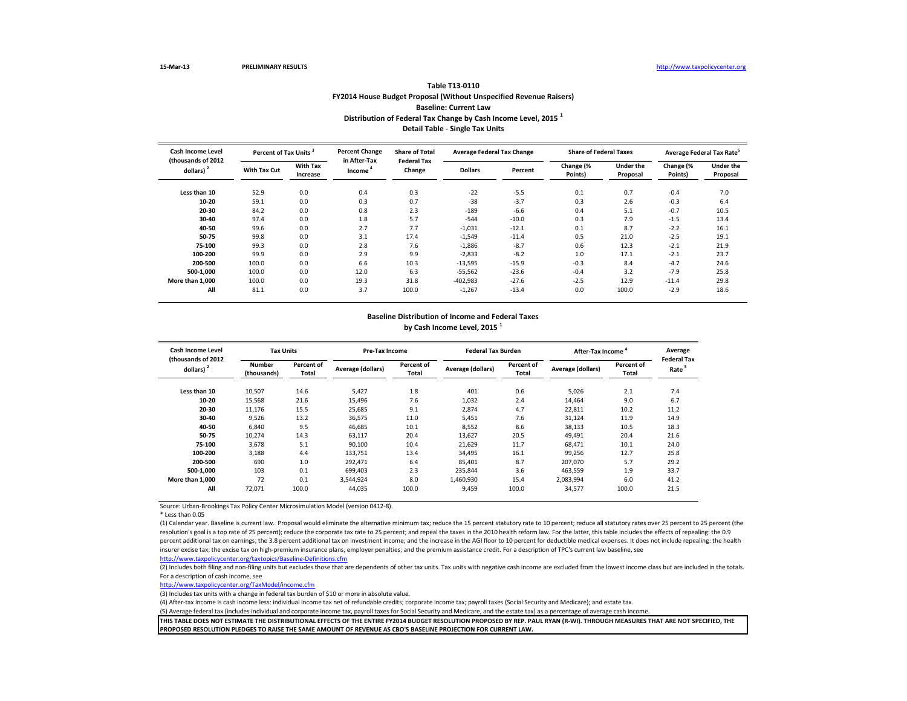### **Table T13-0110 FY2014 House Budget Proposal (Without Unspecified Revenue Raisers) Baseline: Current Law Distribution of Federal Tax Change by Cash Income Level, 2015 <sup>1</sup> Detail Table - Single Tax Units**

| Cash Income Level<br>Percent of Tax Units <sup>3</sup><br>(thousands of 2012) |              |                                              | <b>Percent Change</b><br>in After-Tax | <b>Share of Total</b> | <b>Average Federal Tax Change</b> |                      | <b>Share of Federal Taxes</b> |                      | Average Federal Tax Rate <sup>5</sup> |      |
|-------------------------------------------------------------------------------|--------------|----------------------------------------------|---------------------------------------|-----------------------|-----------------------------------|----------------------|-------------------------------|----------------------|---------------------------------------|------|
| dollars) <sup>2</sup>                                                         | With Tax Cut | <b>With Tax</b><br><b>Income</b><br>Increase | <b>Federal Tax</b><br>Change          | <b>Dollars</b>        | Percent                           | Change (%<br>Points) | <b>Under the</b><br>Proposal  | Change (%<br>Points) | <b>Under the</b><br>Proposal          |      |
| Less than 10                                                                  | 52.9         | 0.0                                          | 0.4                                   | 0.3                   | $-22$                             | $-5.5$               | 0.1                           | 0.7                  | $-0.4$                                | 7.0  |
| 10-20                                                                         | 59.1         | 0.0                                          | 0.3                                   | 0.7                   | $-38$                             | $-3.7$               | 0.3                           | 2.6                  | $-0.3$                                | 6.4  |
| 20-30                                                                         | 84.2         | 0.0                                          | 0.8                                   | 2.3                   | $-189$                            | $-6.6$               | 0.4                           | 5.1                  | $-0.7$                                | 10.5 |
| 30-40                                                                         | 97.4         | 0.0                                          | 1.8                                   | 5.7                   | $-544$                            | $-10.0$              | 0.3                           | 7.9                  | $-1.5$                                | 13.4 |
| 40-50                                                                         | 99.6         | 0.0                                          | 2.7                                   | 7.7                   | $-1,031$                          | $-12.1$              | 0.1                           | 8.7                  | $-2.2$                                | 16.1 |
| 50-75                                                                         | 99.8         | 0.0                                          | 3.1                                   | 17.4                  | $-1,549$                          | $-11.4$              | 0.5                           | 21.0                 | $-2.5$                                | 19.1 |
| 75-100                                                                        | 99.3         | 0.0                                          | 2.8                                   | 7.6                   | $-1,886$                          | $-8.7$               | 0.6                           | 12.3                 | $-2.1$                                | 21.9 |
| 100-200                                                                       | 99.9         | 0.0                                          | 2.9                                   | 9.9                   | $-2,833$                          | $-8.2$               | 1.0                           | 17.1                 | $-2.1$                                | 23.7 |
| 200-500                                                                       | 100.0        | 0.0                                          | 6.6                                   | 10.3                  | $-13,595$                         | $-15.9$              | $-0.3$                        | 8.4                  | $-4.7$                                | 24.6 |
| 500-1.000                                                                     | 100.0        | 0.0                                          | 12.0                                  | 6.3                   | $-55,562$                         | $-23.6$              | $-0.4$                        | 3.2                  | $-7.9$                                | 25.8 |
| More than 1.000                                                               | 100.0        | 0.0                                          | 19.3                                  | 31.8                  | $-402,983$                        | $-27.6$              | $-2.5$                        | 12.9                 | $-11.4$                               | 29.8 |
| All                                                                           | 81.1         | 0.0                                          | 3.7                                   | 100.0                 | $-1,267$                          | $-13.4$              | 0.0                           | 100.0                | $-2.9$                                | 18.6 |

#### **Baseline Distribution of Income and Federal Taxes**

**by Cash Income Level, 2015 <sup>1</sup>**

| Cash Income Level<br>(thousands of 2012 | <b>Tax Units</b>      |                     | Pre-Tax Income    |                     | <b>Federal Tax Burden</b> |                     | After-Tax Income  |                     | Average<br><b>Federal Tax</b> |
|-----------------------------------------|-----------------------|---------------------|-------------------|---------------------|---------------------------|---------------------|-------------------|---------------------|-------------------------------|
| dollars) $2$                            | Number<br>(thousands) | Percent of<br>Total | Average (dollars) | Percent of<br>Total | Average (dollars)         | Percent of<br>Total | Average (dollars) | Percent of<br>Total | Rate <sup>5</sup>             |
| Less than 10                            | 10,507                | 14.6                | 5,427             | 1.8                 | 401                       | 0.6                 | 5,026             | 2.1                 | 7.4                           |
| 10-20                                   | 15,568                | 21.6                | 15,496            | 7.6                 | 1,032                     | 2.4                 | 14,464            | 9.0                 | 6.7                           |
| 20-30                                   | 11,176                | 15.5                | 25,685            | 9.1                 | 2.874                     | 4.7                 | 22,811            | 10.2                | 11.2                          |
| 30-40                                   | 9,526                 | 13.2                | 36,575            | 11.0                | 5,451                     | 7.6                 | 31,124            | 11.9                | 14.9                          |
| 40-50                                   | 6,840                 | 9.5                 | 46,685            | 10.1                | 8,552                     | 8.6                 | 38,133            | 10.5                | 18.3                          |
| 50-75                                   | 10,274                | 14.3                | 63,117            | 20.4                | 13,627                    | 20.5                | 49,491            | 20.4                | 21.6                          |
| 75-100                                  | 3.678                 | 5.1                 | 90,100            | 10.4                | 21,629                    | 11.7                | 68,471            | 10.1                | 24.0                          |
| 100-200                                 | 3,188                 | 4.4                 | 133,751           | 13.4                | 34,495                    | 16.1                | 99,256            | 12.7                | 25.8                          |
| 200-500                                 | 690                   | 1.0                 | 292,471           | 6.4                 | 85,401                    | 8.7                 | 207.070           | 5.7                 | 29.2                          |
| 500-1.000                               | 103                   | 0.1                 | 699,403           | 2.3                 | 235.844                   | 3.6                 | 463,559           | 1.9                 | 33.7                          |
| More than 1.000                         | 72                    | 0.1                 | 3,544,924         | 8.0                 | 1,460,930                 | 15.4                | 2,083,994         | 6.0                 | 41.2                          |
| All                                     | 72,071                | 100.0               | 44,035            | 100.0               | 9,459                     | 100.0               | 34,577            | 100.0               | 21.5                          |

Source: Urban-Brookings Tax Policy Center Microsimulation Model (version 0412-8).

\* Less than 0.05

(1) Calendar year. Baseline is current law. Proposal would eliminate the alternative minimum tax; reduce the 15 percent statutory rate to 10 percent; reduce all statutory rates over 25 percent to 25 percent (the resolution's goal is a top rate of 25 percent); reduce the corporate tax rate to 25 percent; and repeal the taxes in the 2010 health reform law. For the latter, this table includes the effects of repealing: the 0.9 percent additional tax on earnings; the 3.8 percent additional tax on investment income; and the increase in the AGI floor to 10 percent for deductible medical expenses. It does not include repealing: the health insurer excise tax; the excise tax on high-premium insurance plans; employer penalties; and the premium assistance credit. For a description of TPC's current law baseline, see

<http://www.taxpolicycenter.org/taxtopics/Baseline-Definitions.cfm>

(2) Includes both filing and non-filing units but excludes those that are dependents of other tax units. Tax units with negative cash income are excluded from the lowest income class but are included in the totals. For a description of cash income, see

[http://www.taxpolicycente](http://www.taxpolicycenter.org/TaxModel/income.cfm)r.org/TaxModel/income.cfm

(3) Includes tax units with a change in federal tax burden of \$10 or more in absolute value.

(4) After-tax income is cash income less: individual income tax net of refundable credits; corporate income tax; payroll taxes (Social Security and Medicare); and estate tax.

(5) Average federal tax (includes individual and corporate income tax, payroll taxes for Social Security and Medicare, and the estate tax) as a percentage of average cash income.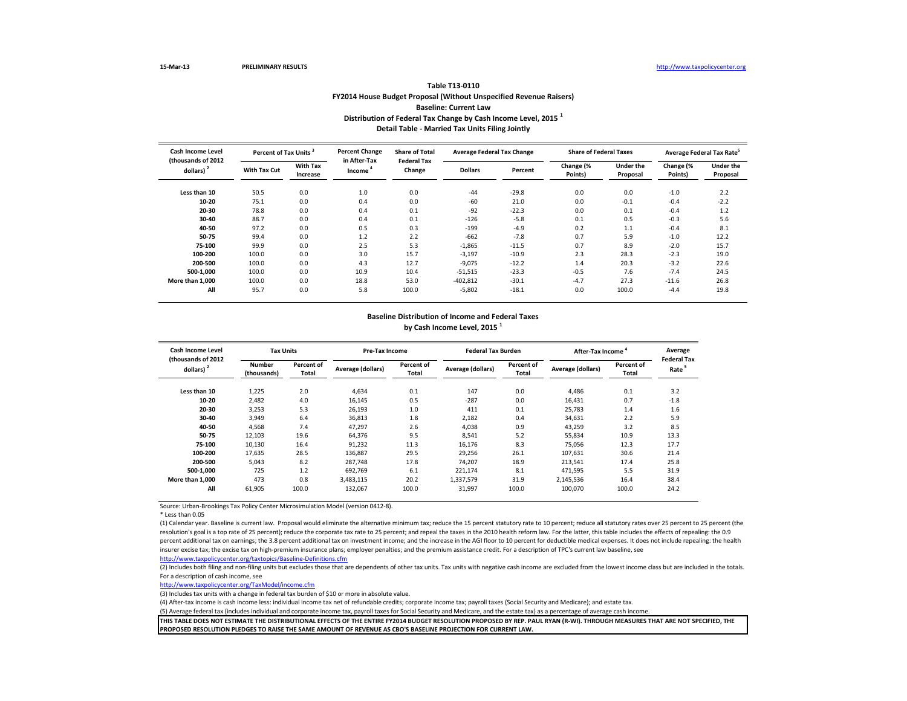### **Table T13-0110 FY2014 House Budget Proposal (Without Unspecified Revenue Raisers) Baseline: Current Law Distribution of Federal Tax Change by Cash Income Level, 2015 <sup>1</sup> Detail Table - Married Tax Units Filing Jointly**

| Cash Income Level<br>Percent of Tax Units <sup>3</sup><br>(thousands of 2012 |                     |                             | <b>Percent Change</b><br>in After-Tax | <b>Share of Total</b><br><b>Federal Tax</b> | <b>Average Federal Tax Change</b> |         | <b>Share of Federal Taxes</b> |                              | Average Federal Tax Rate <sup>5</sup> |                              |  |
|------------------------------------------------------------------------------|---------------------|-----------------------------|---------------------------------------|---------------------------------------------|-----------------------------------|---------|-------------------------------|------------------------------|---------------------------------------|------------------------------|--|
| dollars) <sup>2</sup>                                                        | <b>With Tax Cut</b> | <b>With Tax</b><br>Increase | Income                                | Change                                      | <b>Dollars</b>                    | Percent | Change (%<br>Points)          | <b>Under the</b><br>Proposal | Change (%<br>Points)                  | <b>Under the</b><br>Proposal |  |
| Less than 10                                                                 | 50.5                | 0.0                         | 1.0                                   | 0.0                                         | $-44$                             | $-29.8$ | 0.0                           | 0.0                          | $-1.0$                                | 2.2                          |  |
| 10-20                                                                        | 75.1                | 0.0                         | 0.4                                   | 0.0                                         | $-60$                             | 21.0    | 0.0                           | $-0.1$                       | $-0.4$                                | $-2.2$                       |  |
| 20-30                                                                        | 78.8                | 0.0                         | 0.4                                   | 0.1                                         | $-92$                             | $-22.3$ | 0.0                           | 0.1                          | $-0.4$                                | 1.2                          |  |
| 30-40                                                                        | 88.7                | 0.0                         | 0.4                                   | 0.1                                         | $-126$                            | $-5.8$  | 0.1                           | 0.5                          | $-0.3$                                | 5.6                          |  |
| 40-50                                                                        | 97.2                | 0.0                         | 0.5                                   | 0.3                                         | $-199$                            | $-4.9$  | 0.2                           | 1.1                          | $-0.4$                                | 8.1                          |  |
| 50-75                                                                        | 99.4                | 0.0                         | 1.2                                   | 2.2                                         | $-662$                            | $-7.8$  | 0.7                           | 5.9                          | $-1.0$                                | 12.2                         |  |
| 75-100                                                                       | 99.9                | 0.0                         | 2.5                                   | 5.3                                         | $-1,865$                          | $-11.5$ | 0.7                           | 8.9                          | $-2.0$                                | 15.7                         |  |
| 100-200                                                                      | 100.0               | 0.0                         | 3.0                                   | 15.7                                        | $-3,197$                          | $-10.9$ | 2.3                           | 28.3                         | $-2.3$                                | 19.0                         |  |
| 200-500                                                                      | 100.0               | 0.0                         | 4.3                                   | 12.7                                        | $-9,075$                          | $-12.2$ | 1.4                           | 20.3                         | $-3.2$                                | 22.6                         |  |
| 500-1.000                                                                    | 100.0               | 0.0                         | 10.9                                  | 10.4                                        | $-51,515$                         | $-23.3$ | $-0.5$                        | 7.6                          | $-7.4$                                | 24.5                         |  |
| More than 1.000                                                              | 100.0               | 0.0                         | 18.8                                  | 53.0                                        | $-402,812$                        | $-30.1$ | $-4.7$                        | 27.3                         | $-11.6$                               | 26.8                         |  |
| All                                                                          | 95.7                | 0.0                         | 5.8                                   | 100.0                                       | $-5,802$                          | $-18.1$ | 0.0                           | 100.0                        | $-4.4$                                | 19.8                         |  |

#### **Baseline Distribution of Income and Federal Taxes**

**by Cash Income Level, 2015 <sup>1</sup>**

| Cash Income Level<br>(thousands of 2012 |                       | <b>Tax Units</b>    |                   | Pre-Tax Income      |                   | <b>Federal Tax Burden</b> | After-Tax Income  |                     | Average<br><b>Federal Tax</b> |
|-----------------------------------------|-----------------------|---------------------|-------------------|---------------------|-------------------|---------------------------|-------------------|---------------------|-------------------------------|
| dollars) $2$                            | Number<br>(thousands) | Percent of<br>Total | Average (dollars) | Percent of<br>Total | Average (dollars) | Percent of<br>Total       | Average (dollars) | Percent of<br>Total | Rate                          |
| Less than 10                            | 1,225                 | 2.0                 | 4,634             | 0.1                 | 147               | 0.0                       | 4,486             | 0.1                 | 3.2                           |
| 10-20                                   | 2.482                 | 4.0                 | 16,145            | 0.5                 | $-287$            | 0.0                       | 16,431            | 0.7                 | $-1.8$                        |
| 20-30                                   | 3.253                 | 5.3                 | 26.193            | 1.0                 | 411               | 0.1                       | 25,783            | 1.4                 | 1.6                           |
| 30-40                                   | 3.949                 | 6.4                 | 36,813            | 1.8                 | 2,182             | 0.4                       | 34,631            | 2.2                 | 5.9                           |
| 40-50                                   | 4,568                 | 7.4                 | 47,297            | 2.6                 | 4,038             | 0.9                       | 43,259            | 3.2                 | 8.5                           |
| 50-75                                   | 12,103                | 19.6                | 64,376            | 9.5                 | 8,541             | 5.2                       | 55,834            | 10.9                | 13.3                          |
| 75-100                                  | 10,130                | 16.4                | 91,232            | 11.3                | 16,176            | 8.3                       | 75.056            | 12.3                | 17.7                          |
| 100-200                                 | 17,635                | 28.5                | 136,887           | 29.5                | 29,256            | 26.1                      | 107,631           | 30.6                | 21.4                          |
| 200-500                                 | 5.043                 | 8.2                 | 287.748           | 17.8                | 74.207            | 18.9                      | 213,541           | 17.4                | 25.8                          |
| 500-1.000                               | 725                   | 1.2                 | 692.769           | 6.1                 | 221,174           | 8.1                       | 471,595           | 5.5                 | 31.9                          |
| More than 1.000                         | 473                   | 0.8                 | 3,483,115         | 20.2                | 1,337,579         | 31.9                      | 2,145,536         | 16.4                | 38.4                          |
| All                                     | 61,905                | 100.0               | 132,067           | 100.0               | 31,997            | 100.0                     | 100,070           | 100.0               | 24.2                          |

Source: Urban-Brookings Tax Policy Center Microsimulation Model (version 0412-8).

\* Less than 0.05

(1) Calendar year. Baseline is current law. Proposal would eliminate the alternative minimum tax; reduce the 15 percent statutory rate to 10 percent; reduce all statutory rates over 25 percent to 25 percent (the resolution's goal is a top rate of 25 percent); reduce the corporate tax rate to 25 percent; and repeal the taxes in the 2010 health reform law. For the latter, this table includes the effects of repealing: the 0.9 percent additional tax on earnings; the 3.8 percent additional tax on investment income; and the increase in the AGI floor to 10 percent for deductible medical expenses. It does not include repealing: the health insurer excise tax; the excise tax on high-premium insurance plans; employer penalties; and the premium assistance credit. For a description of TPC's current law baseline, see

<http://www.taxpolicycenter.org/taxtopics/Baseline-Definitions.cfm>

(2) Includes both filing and non-filing units but excludes those that are dependents of other tax units. Tax units with negative cash income are excluded from the lowest income class but are included in the totals. For a description of cash income, see

[http://www.taxpolicycente](http://www.taxpolicycenter.org/TaxModel/income.cfm)r.org/TaxModel/income.cfm

(3) Includes tax units with a change in federal tax burden of \$10 or more in absolute value.

(4) After-tax income is cash income less: individual income tax net of refundable credits; corporate income tax; payroll taxes (Social Security and Medicare); and estate tax.

(5) Average federal tax (includes individual and corporate income tax, payroll taxes for Social Security and Medicare, and the estate tax) as a percentage of average cash income.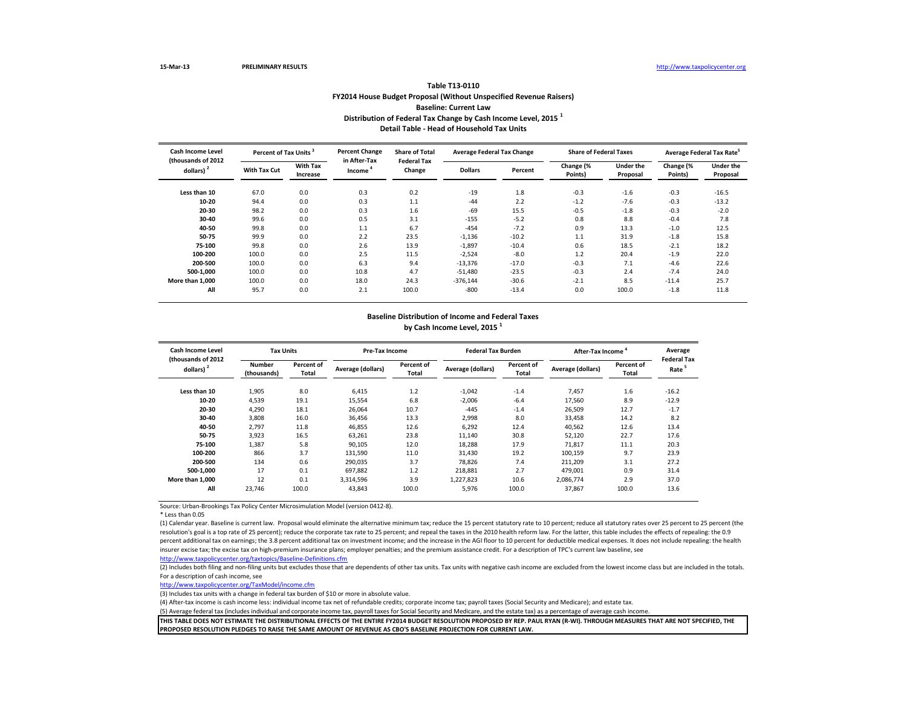### **Table T13-0110 FY2014 House Budget Proposal (Without Unspecified Revenue Raisers) Baseline: Current Law Distribution of Federal Tax Change by Cash Income Level, 2015 <sup>1</sup> Detail Table - Head of Household Tax Units**

| <b>Cash Income Level</b><br>(thousands of 2012 |              | Percent of Tax Units <sup>3</sup> | <b>Percent Change</b><br>in After-Tax | <b>Share of Total</b><br><b>Federal Tax</b> | <b>Average Federal Tax Change</b> |         | <b>Share of Federal Taxes</b> |                              | Average Federal Tax Rate <sup>5</sup> |                              |  |
|------------------------------------------------|--------------|-----------------------------------|---------------------------------------|---------------------------------------------|-----------------------------------|---------|-------------------------------|------------------------------|---------------------------------------|------------------------------|--|
| dollars)                                       | With Tax Cut | <b>With Tax</b><br>Increase       | Income                                | Change                                      | <b>Dollars</b>                    | Percent | Change (%<br>Points)          | <b>Under the</b><br>Proposal | Change (%<br>Points)                  | <b>Under the</b><br>Proposal |  |
| Less than 10                                   | 67.0         | 0.0                               | 0.3                                   | 0.2                                         | $-19$                             | 1.8     | $-0.3$                        | $-1.6$                       | $-0.3$                                | $-16.5$                      |  |
| 10-20                                          | 94.4         | 0.0                               | 0.3                                   | 1.1                                         | $-44$                             | 2.2     | $-1.2$                        | $-7.6$                       | $-0.3$                                | $-13.2$                      |  |
| 20-30                                          | 98.2         | 0.0                               | 0.3                                   | 1.6                                         | $-69$                             | 15.5    | $-0.5$                        | $-1.8$                       | $-0.3$                                | $-2.0$                       |  |
| 30-40                                          | 99.6         | 0.0                               | 0.5                                   | 3.1                                         | $-155$                            | $-5.2$  | 0.8                           | 8.8                          | $-0.4$                                | 7.8                          |  |
| 40-50                                          | 99.8         | 0.0                               | 1.1                                   | 6.7                                         | $-454$                            | $-7.2$  | 0.9                           | 13.3                         | $-1.0$                                | 12.5                         |  |
| 50-75                                          | 99.9         | 0.0                               | 2.2                                   | 23.5                                        | $-1,136$                          | $-10.2$ | 1.1                           | 31.9                         | $-1.8$                                | 15.8                         |  |
| 75-100                                         | 99.8         | 0.0                               | 2.6                                   | 13.9                                        | $-1,897$                          | $-10.4$ | 0.6                           | 18.5                         | $-2.1$                                | 18.2                         |  |
| 100-200                                        | 100.0        | 0.0                               | 2.5                                   | 11.5                                        | $-2,524$                          | $-8.0$  | 1.2                           | 20.4                         | $-1.9$                                | 22.0                         |  |
| 200-500                                        | 100.0        | 0.0                               | 6.3                                   | 9.4                                         | $-13,376$                         | $-17.0$ | $-0.3$                        | 7.1                          | $-4.6$                                | 22.6                         |  |
| 500-1,000                                      | 100.0        | 0.0                               | 10.8                                  | 4.7                                         | $-51,480$                         | $-23.5$ | $-0.3$                        | 2.4                          | $-7.4$                                | 24.0                         |  |
| More than 1.000                                | 100.0        | 0.0                               | 18.0                                  | 24.3                                        | $-376,144$                        | $-30.6$ | $-2.1$                        | 8.5                          | $-11.4$                               | 25.7                         |  |
| All                                            | 95.7         | 0.0                               | 2.1                                   | 100.0                                       | $-800$                            | $-13.4$ | 0.0                           | 100.0                        | $-1.8$                                | 11.8                         |  |

#### **Baseline Distribution of Income and Federal Taxes**

**by Cash Income Level, 2015 <sup>1</sup>**

| Cash Income Level<br>(thousands of 2012 |                       | <b>Tax Units</b>    |                   | Pre-Tax Income      |                   | <b>Federal Tax Burden</b> | After-Tax Income  |                     | Average<br><b>Federal Tax</b> |
|-----------------------------------------|-----------------------|---------------------|-------------------|---------------------|-------------------|---------------------------|-------------------|---------------------|-------------------------------|
| dollars) <sup>2</sup>                   | Number<br>(thousands) | Percent of<br>Total | Average (dollars) | Percent of<br>Total | Average (dollars) | Percent of<br>Total       | Average (dollars) | Percent of<br>Total | Rate                          |
| Less than 10                            | 1,905                 | 8.0                 | 6,415             | 1.2                 | $-1,042$          | $-1.4$                    | 7,457             | 1.6                 | $-16.2$                       |
| 10-20                                   | 4,539                 | 19.1                | 15,554            | 6.8                 | $-2.006$          | $-6.4$                    | 17,560            | 8.9                 | $-12.9$                       |
| 20-30                                   | 4.290                 | 18.1                | 26.064            | 10.7                | $-445$            | $-1.4$                    | 26,509            | 12.7                | $-1.7$                        |
| 30-40                                   | 3.808                 | 16.0                | 36,456            | 13.3                | 2.998             | 8.0                       | 33,458            | 14.2                | 8.2                           |
| 40-50                                   | 2,797                 | 11.8                | 46,855            | 12.6                | 6,292             | 12.4                      | 40,562            | 12.6                | 13.4                          |
| 50-75                                   | 3,923                 | 16.5                | 63,261            | 23.8                | 11,140            | 30.8                      | 52,120            | 22.7                | 17.6                          |
| 75-100                                  | 1,387                 | 5.8                 | 90,105            | 12.0                | 18,288            | 17.9                      | 71.817            | 11.1                | 20.3                          |
| 100-200                                 | 866                   | 3.7                 | 131,590           | 11.0                | 31,430            | 19.2                      | 100,159           | 9.7                 | 23.9                          |
| 200-500                                 | 134                   | 0.6                 | 290.035           | 3.7                 | 78.826            | 7.4                       | 211,209           | 3.1                 | 27.2                          |
| 500-1.000                               | 17                    | 0.1                 | 697.882           | 1.2                 | 218.881           | 2.7                       | 479.001           | 0.9                 | 31.4                          |
| More than 1.000                         | 12                    | 0.1                 | 3,314,596         | 3.9                 | 1,227,823         | 10.6                      | 2,086,774         | 2.9                 | 37.0                          |
| All                                     | 23.746                | 100.0               | 43,843            | 100.0               | 5,976             | 100.0                     | 37,867            | 100.0               | 13.6                          |

Source: Urban-Brookings Tax Policy Center Microsimulation Model (version 0412-8).

\* Less than 0.05

(1) Calendar year. Baseline is current law. Proposal would eliminate the alternative minimum tax; reduce the 15 percent statutory rate to 10 percent; reduce all statutory rates over 25 percent to 25 percent (the resolution's goal is a top rate of 25 percent); reduce the corporate tax rate to 25 percent; and repeal the taxes in the 2010 health reform law. For the latter, this table includes the effects of repealing: the 0.9 percent additional tax on earnings; the 3.8 percent additional tax on investment income; and the increase in the AGI floor to 10 percent for deductible medical expenses. It does not include repealing: the health insurer excise tax; the excise tax on high-premium insurance plans; employer penalties; and the premium assistance credit. For a description of TPC's current law baseline, see

<http://www.taxpolicycenter.org/taxtopics/Baseline-Definitions.cfm>

(2) Includes both filing and non-filing units but excludes those that are dependents of other tax units. Tax units with negative cash income are excluded from the lowest income class but are included in the totals. For a description of cash income, see

[http://www.taxpolicycente](http://www.taxpolicycenter.org/TaxModel/income.cfm)r.org/TaxModel/income.cfm

(3) Includes tax units with a change in federal tax burden of \$10 or more in absolute value.

(4) After-tax income is cash income less: individual income tax net of refundable credits; corporate income tax; payroll taxes (Social Security and Medicare); and estate tax.

(5) Average federal tax (includes individual and corporate income tax, payroll taxes for Social Security and Medicare, and the estate tax) as a percentage of average cash income.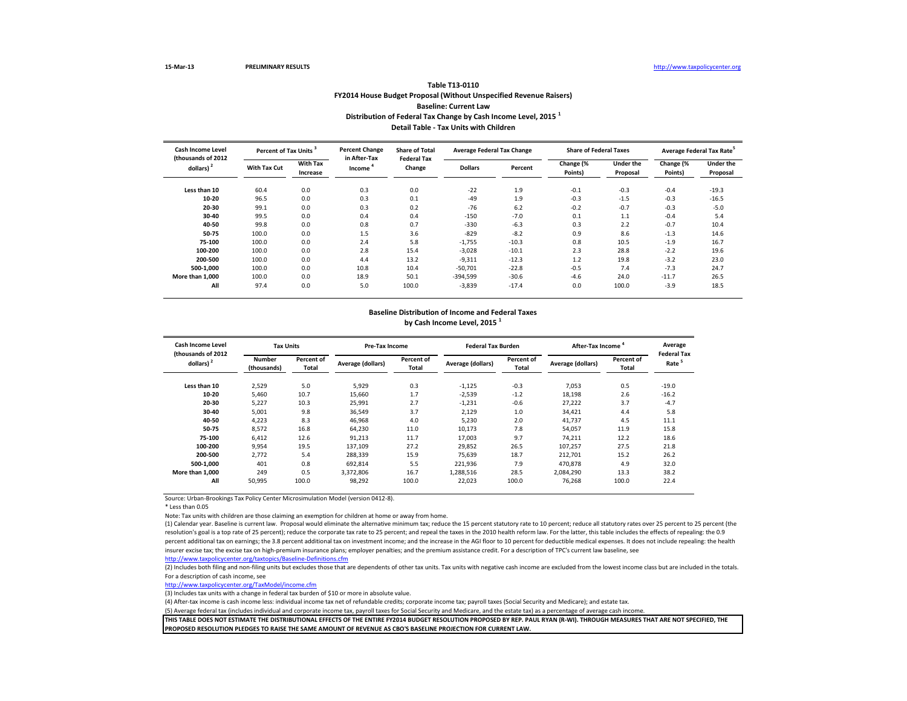## **Table T13-0110 FY2014 House Budget Proposal (Without Unspecified Revenue Raisers) Baseline: Current Law Distribution of Federal Tax Change by Cash Income Level, 2015 <sup>1</sup> Detail Table - Tax Units with Children**

| Cash Income Level<br>(thousands of 2012) |              | Percent of Tax Units <sup>3</sup> |                        | <b>Share of Total</b><br><b>Federal Tax</b> | <b>Average Federal Tax Change</b> |         | <b>Share of Federal Taxes</b> |                       | Average Federal Tax Rate <sup>3</sup> |                              |
|------------------------------------------|--------------|-----------------------------------|------------------------|---------------------------------------------|-----------------------------------|---------|-------------------------------|-----------------------|---------------------------------------|------------------------------|
| dollars) <sup>2</sup>                    | With Tax Cut | <b>With Tax</b><br>Increase       | in After-Tax<br>Income | Change                                      | <b>Dollars</b>                    | Percent | Change (%<br>Points)          | Under the<br>Proposal | Change (%<br>Points)                  | <b>Under the</b><br>Proposal |
| Less than 10                             | 60.4         | 0.0                               | 0.3                    | 0.0                                         | $-22$                             | 1.9     | $-0.1$                        | $-0.3$                | $-0.4$                                | $-19.3$                      |
| 10-20                                    | 96.5         | 0.0                               | 0.3                    | 0.1                                         | $-49$                             | 1.9     | $-0.3$                        | $-1.5$                | $-0.3$                                | $-16.5$                      |
| 20-30                                    | 99.1         | 0.0                               | 0.3                    | 0.2                                         | $-76$                             | 6.2     | $-0.2$                        | $-0.7$                | $-0.3$                                | $-5.0$                       |
| 30-40                                    | 99.5         | 0.0                               | 0.4                    | 0.4                                         | $-150$                            | $-7.0$  | 0.1                           | 1.1                   | $-0.4$                                | 5.4                          |
| 40-50                                    | 99.8         | 0.0                               | 0.8                    | 0.7                                         | $-330$                            | $-6.3$  | 0.3                           | 2.2                   | $-0.7$                                | 10.4                         |
| 50-75                                    | 100.0        | 0.0                               | 1.5                    | 3.6                                         | $-829$                            | $-8.2$  | 0.9                           | 8.6                   | $-1.3$                                | 14.6                         |
| 75-100                                   | 100.0        | 0.0                               | 2.4                    | 5.8                                         | $-1,755$                          | $-10.3$ | 0.8                           | 10.5                  | $-1.9$                                | 16.7                         |
| 100-200                                  | 100.0        | 0.0                               | 2.8                    | 15.4                                        | $-3,028$                          | $-10.1$ | 2.3                           | 28.8                  | $-2.2$                                | 19.6                         |
| 200-500                                  | 100.0        | 0.0                               | 4.4                    | 13.2                                        | $-9,311$                          | $-12.3$ | 1.2                           | 19.8                  | $-3.2$                                | 23.0                         |
| 500-1.000                                | 100.0        | 0.0                               | 10.8                   | 10.4                                        | $-50,701$                         | $-22.8$ | $-0.5$                        | 7.4                   | $-7.3$                                | 24.7                         |
| More than 1.000                          | 100.0        | 0.0                               | 18.9                   | 50.1                                        | $-394.599$                        | $-30.6$ | $-4.6$                        | 24.0                  | $-11.7$                               | 26.5                         |
| All                                      | 97.4         | 0.0                               | 5.0                    | 100.0                                       | $-3,839$                          | $-17.4$ | 0.0                           | 100.0                 | $-3.9$                                | 18.5                         |

#### **Baseline Distribution of Income and Federal Taxes by Cash Income Level, 2015 <sup>1</sup>**

| Cash Income Level<br>(thousands of 2012) | <b>Tax Units</b>             |                     | Pre-Tax Income    |                     | <b>Federal Tax Burden</b> |                     | <b>After-Tax Income</b> |                     | Average<br><b>Federal Tax</b> |
|------------------------------------------|------------------------------|---------------------|-------------------|---------------------|---------------------------|---------------------|-------------------------|---------------------|-------------------------------|
| dollars) $2$                             | <b>Number</b><br>(thousands) | Percent of<br>Total | Average (dollars) | Percent of<br>Total | Average (dollars)         | Percent of<br>Total | Average (dollars)       | Percent of<br>Total | Rate <sup>5</sup>             |
| Less than 10                             | 2,529                        | 5.0                 | 5,929             | 0.3                 | $-1,125$                  | $-0.3$              | 7,053                   | 0.5                 | $-19.0$                       |
| 10-20                                    | 5,460                        | 10.7                | 15,660            | 1.7                 | $-2,539$                  | $-1.2$              | 18,198                  | 2.6                 | $-16.2$                       |
| 20-30                                    | 5,227                        | 10.3                | 25.991            | 2.7                 | $-1,231$                  | $-0.6$              | 27.222                  | 3.7                 | $-4.7$                        |
| 30-40                                    | 5,001                        | 9.8                 | 36,549            | 3.7                 | 2,129                     | 1.0                 | 34,421                  | 4.4                 | 5.8                           |
| 40-50                                    | 4,223                        | 8.3                 | 46,968            | 4.0                 | 5,230                     | 2.0                 | 41,737                  | 4.5                 | 11.1                          |
| 50-75                                    | 8,572                        | 16.8                | 64,230            | 11.0                | 10,173                    | 7.8                 | 54,057                  | 11.9                | 15.8                          |
| 75-100                                   | 6,412                        | 12.6                | 91,213            | 11.7                | 17,003                    | 9.7                 | 74,211                  | 12.2                | 18.6                          |
| 100-200                                  | 9,954                        | 19.5                | 137,109           | 27.2                | 29,852                    | 26.5                | 107,257                 | 27.5                | 21.8                          |
| 200-500                                  | 2.772                        | 5.4                 | 288,339           | 15.9                | 75,639                    | 18.7                | 212,701                 | 15.2                | 26.2                          |
| 500-1.000                                | 401                          | 0.8                 | 692.814           | 5.5                 | 221,936                   | 7.9                 | 470.878                 | 4.9                 | 32.0                          |
| More than 1.000                          | 249                          | 0.5                 | 3.372.806         | 16.7                | 1,288,516                 | 28.5                | 2.084.290               | 13.3                | 38.2                          |
| All                                      | 50,995                       | 100.0               | 98,292            | 100.0               | 22,023                    | 100.0               | 76,268                  | 100.0               | 22.4                          |

Source: Urban-Brookings Tax Policy Center Microsimulation Model (version 0412-8).

\* Less than 0.05

Note: Tax units with children are those claiming an exemption for children at home or away from home.

(1) Calendar year. Baseline is current law. Proposal would eliminate the alternative minimum tax; reduce the 15 percent statutory rate to 10 percent; reduce all statutory rates over 25 percent to 25 percent (the resolution's goal is a top rate of 25 percent); reduce the corporate tax rate to 25 percent; and repeal the taxes in the 2010 health reform law. For the latter, this table includes the effects of repealing: the 0.9 percent additional tax on earnings; the 3.8 percent additional tax on investment income; and the increase in the AGI floor to 10 percent for deductible medical expenses. It does not include repealing: the health insurer excise tax; the excise tax on high-premium insurance plans; employer penalties; and the premium assistance credit. For a description of TPC's current law baseline, see

<http://www.taxpolicycenter.org/taxtopics/Baseline-Definitions.cfm>

(2) Includes both filing and non-filing units but excludes those that are dependents of other tax units. Tax units with negative cash income are excluded from the lowest income class but are included in the totals. For a description of cash income, see

[http://www.taxpolicycente](http://www.taxpolicycenter.org/TaxModel/income.cfm)r.org/TaxModel/income.cfm

(3) Includes tax units with a change in federal tax burden of \$10 or more in absolute value.

(4) After-tax income is cash income less: individual income tax net of refundable credits; corporate income tax; payroll taxes (Social Security and Medicare); and estate tax.

(5) Average federal tax (includes individual and corporate income tax, payroll taxes for Social Security and Medicare, and the estate tax) as a percentage of average cash income.